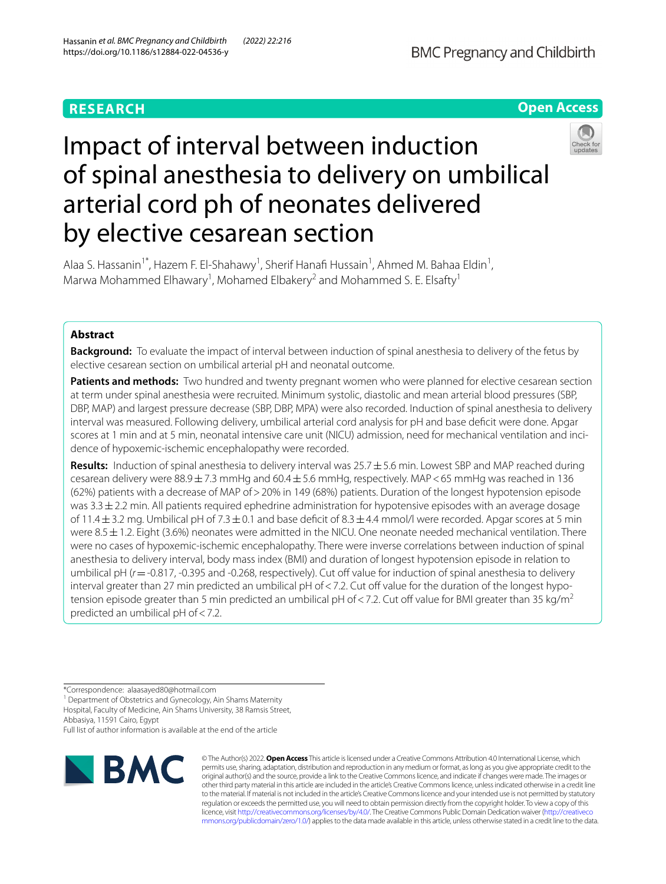# **RESEARCH**



# Impact of interval between induction of spinal anesthesia to delivery on umbilical arterial cord ph of neonates delivered by elective cesarean section



Alaa S. Hassanin<sup>1\*</sup>, Hazem F. El-Shahawy<sup>1</sup>, Sherif Hanafi Hussain<sup>1</sup>, Ahmed M. Bahaa Eldin<sup>1</sup>, Marwa Mohammed Elhawary<sup>1</sup>, Mohamed Elbakery<sup>2</sup> and Mohammed S. E. Elsafty<sup>1</sup>

# **Abstract**

**Background:** To evaluate the impact of interval between induction of spinal anesthesia to delivery of the fetus by elective cesarean section on umbilical arterial pH and neonatal outcome.

**Patients and methods:** Two hundred and twenty pregnant women who were planned for elective cesarean section at term under spinal anesthesia were recruited. Minimum systolic, diastolic and mean arterial blood pressures (SBP, DBP, MAP) and largest pressure decrease (SBP, DBP, MPA) were also recorded. Induction of spinal anesthesia to delivery interval was measured. Following delivery, umbilical arterial cord analysis for pH and base defcit were done. Apgar scores at 1 min and at 5 min, neonatal intensive care unit (NICU) admission, need for mechanical ventilation and incidence of hypoxemic-ischemic encephalopathy were recorded.

**Results:** Induction of spinal anesthesia to delivery interval was 25.7±5.6 min. Lowest SBP and MAP reached during cesarean delivery were  $88.9 \pm 7.3$  mmHg and  $60.4 \pm 5.6$  mmHg, respectively. MAP < 65 mmHg was reached in 136 (62%) patients with a decrease of MAP of>20% in 149 (68%) patients. Duration of the longest hypotension episode was  $3.3 \pm 2.2$  min. All patients required ephedrine administration for hypotensive episodes with an average dosage of 11.4 $\pm$ 3.2 mg. Umbilical pH of 7.3 $\pm$ 0.1 and base deficit of 8.3 $\pm$ 4.4 mmol/l were recorded. Apgar scores at 5 min were 8.5±1.2. Eight (3.6%) neonates were admitted in the NICU. One neonate needed mechanical ventilation. There were no cases of hypoxemic-ischemic encephalopathy. There were inverse correlations between induction of spinal anesthesia to delivery interval, body mass index (BMI) and duration of longest hypotension episode in relation to umbilical pH ( $r$  = -0.817, -0.395 and -0.268, respectively). Cut off value for induction of spinal anesthesia to delivery interval greater than 27 min predicted an umbilical pH of  $<$  7.2. Cut off value for the duration of the longest hypotension episode greater than 5 min predicted an umbilical pH of <7.2. Cut off value for BMI greater than 35 kg/m<sup>2</sup> predicted an umbilical pH of<7.2.

<sup>1</sup> Department of Obstetrics and Gynecology, Ain Shams Maternity Hospital, Faculty of Medicine, Ain Shams University, 38 Ramsis Street, Abbasiya, 11591 Cairo, Egypt

Full list of author information is available at the end of the article



© The Author(s) 2022. **Open Access** This article is licensed under a Creative Commons Attribution 4.0 International License, which permits use, sharing, adaptation, distribution and reproduction in any medium or format, as long as you give appropriate credit to the original author(s) and the source, provide a link to the Creative Commons licence, and indicate if changes were made. The images or other third party material in this article are included in the article's Creative Commons licence, unless indicated otherwise in a credit line to the material. If material is not included in the article's Creative Commons licence and your intended use is not permitted by statutory regulation or exceeds the permitted use, you will need to obtain permission directly from the copyright holder. To view a copy of this licence, visit [http://creativecommons.org/licenses/by/4.0/.](http://creativecommons.org/licenses/by/4.0/) The Creative Commons Public Domain Dedication waiver ([http://creativeco](http://creativecommons.org/publicdomain/zero/1.0/) [mmons.org/publicdomain/zero/1.0/](http://creativecommons.org/publicdomain/zero/1.0/)) applies to the data made available in this article, unless otherwise stated in a credit line to the data.

<sup>\*</sup>Correspondence: alaasayed80@hotmail.com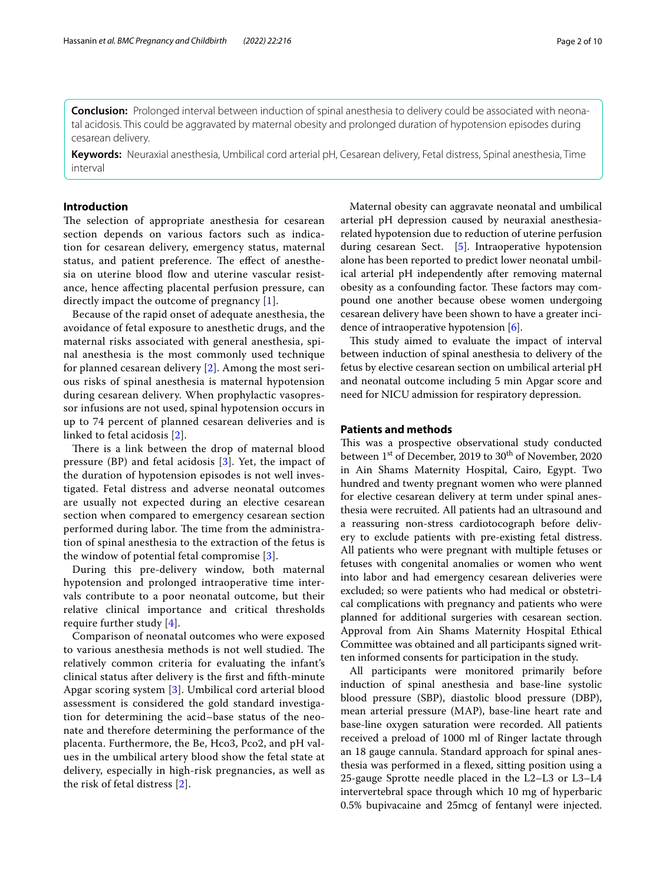**Conclusion:** Prolonged interval between induction of spinal anesthesia to delivery could be associated with neonatal acidosis. This could be aggravated by maternal obesity and prolonged duration of hypotension episodes during cesarean delivery.

**Keywords:** Neuraxial anesthesia, Umbilical cord arterial pH, Cesarean delivery, Fetal distress, Spinal anesthesia, Time interval

# **Introduction**

The selection of appropriate anesthesia for cesarean section depends on various factors such as indication for cesarean delivery, emergency status, maternal status, and patient preference. The effect of anesthesia on uterine blood flow and uterine vascular resistance, hence afecting placental perfusion pressure, can directly impact the outcome of pregnancy [[1\]](#page-8-0).

Because of the rapid onset of adequate anesthesia, the avoidance of fetal exposure to anesthetic drugs, and the maternal risks associated with general anesthesia, spinal anesthesia is the most commonly used technique for planned cesarean delivery [[2\]](#page-9-0). Among the most serious risks of spinal anesthesia is maternal hypotension during cesarean delivery. When prophylactic vasopressor infusions are not used, spinal hypotension occurs in up to 74 percent of planned cesarean deliveries and is linked to fetal acidosis [\[2](#page-9-0)].

There is a link between the drop of maternal blood pressure (BP) and fetal acidosis [[3](#page-9-1)]. Yet, the impact of the duration of hypotension episodes is not well investigated. Fetal distress and adverse neonatal outcomes are usually not expected during an elective cesarean section when compared to emergency cesarean section performed during labor. The time from the administration of spinal anesthesia to the extraction of the fetus is the window of potential fetal compromise [\[3](#page-9-1)].

During this pre-delivery window, both maternal hypotension and prolonged intraoperative time intervals contribute to a poor neonatal outcome, but their relative clinical importance and critical thresholds require further study [[4\]](#page-9-2).

Comparison of neonatal outcomes who were exposed to various anesthesia methods is not well studied. The relatively common criteria for evaluating the infant's clinical status after delivery is the frst and ffth-minute Apgar scoring system [[3\]](#page-9-1). Umbilical cord arterial blood assessment is considered the gold standard investigation for determining the acid–base status of the neonate and therefore determining the performance of the placenta. Furthermore, the Be, Hco3, Pco2, and pH values in the umbilical artery blood show the fetal state at delivery, especially in high-risk pregnancies, as well as the risk of fetal distress [[2](#page-9-0)].

Maternal obesity can aggravate neonatal and umbilical arterial pH depression caused by neuraxial anesthesiarelated hypotension due to reduction of uterine perfusion during cesarean Sect. [[5\]](#page-9-3). Intraoperative hypotension alone has been reported to predict lower neonatal umbilical arterial pH independently after removing maternal obesity as a confounding factor. These factors may compound one another because obese women undergoing cesarean delivery have been shown to have a greater incidence of intraoperative hypotension [\[6](#page-9-4)].

This study aimed to evaluate the impact of interval between induction of spinal anesthesia to delivery of the fetus by elective cesarean section on umbilical arterial pH and neonatal outcome including 5 min Apgar score and need for NICU admission for respiratory depression.

# **Patients and methods**

This was a prospective observational study conducted between  $1<sup>st</sup>$  of December, 2019 to  $30<sup>th</sup>$  of November, 2020 in Ain Shams Maternity Hospital, Cairo, Egypt. Two hundred and twenty pregnant women who were planned for elective cesarean delivery at term under spinal anesthesia were recruited. All patients had an ultrasound and a reassuring non-stress cardiotocograph before delivery to exclude patients with pre-existing fetal distress. All patients who were pregnant with multiple fetuses or fetuses with congenital anomalies or women who went into labor and had emergency cesarean deliveries were excluded; so were patients who had medical or obstetrical complications with pregnancy and patients who were planned for additional surgeries with cesarean section. Approval from Ain Shams Maternity Hospital Ethical Committee was obtained and all participants signed written informed consents for participation in the study.

All participants were monitored primarily before induction of spinal anesthesia and base-line systolic blood pressure (SBP), diastolic blood pressure (DBP), mean arterial pressure (MAP), base-line heart rate and base-line oxygen saturation were recorded. All patients received a preload of 1000 ml of Ringer lactate through an 18 gauge cannula. Standard approach for spinal anesthesia was performed in a fexed, sitting position using a 25-gauge Sprotte needle placed in the L2–L3 or L3–L4 intervertebral space through which 10 mg of hyperbaric 0.5% bupivacaine and 25mcg of fentanyl were injected.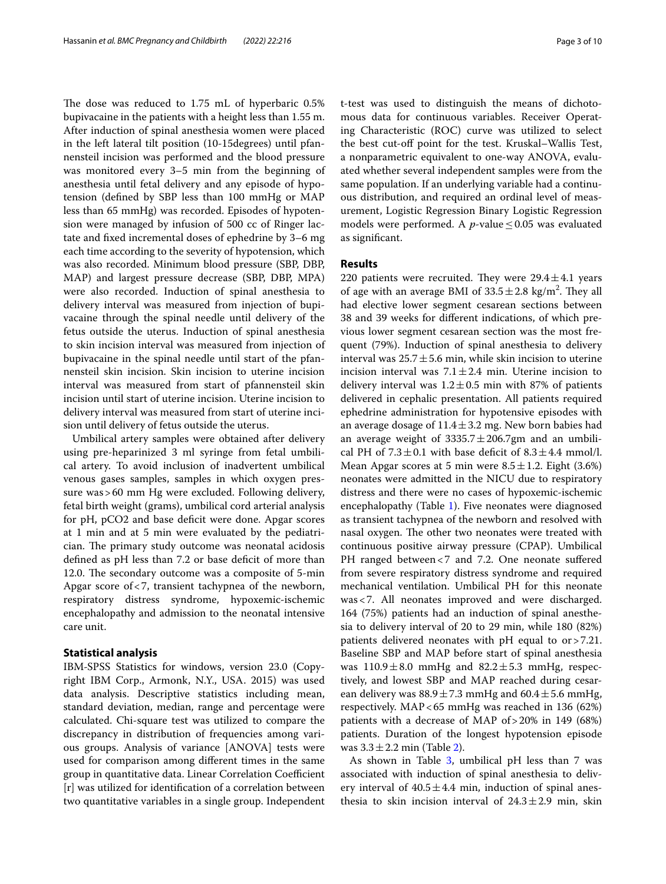The dose was reduced to  $1.75$  mL of hyperbaric  $0.5\%$ bupivacaine in the patients with a height less than 1.55 m. After induction of spinal anesthesia women were placed in the left lateral tilt position (10-15degrees) until pfannensteil incision was performed and the blood pressure was monitored every 3–5 min from the beginning of anesthesia until fetal delivery and any episode of hypotension (defned by SBP less than 100 mmHg or MAP less than 65 mmHg) was recorded. Episodes of hypotension were managed by infusion of 500 cc of Ringer lactate and fxed incremental doses of ephedrine by 3–6 mg each time according to the severity of hypotension, which was also recorded. Minimum blood pressure (SBP, DBP, MAP) and largest pressure decrease (SBP, DBP, MPA) were also recorded. Induction of spinal anesthesia to delivery interval was measured from injection of bupivacaine through the spinal needle until delivery of the fetus outside the uterus. Induction of spinal anesthesia to skin incision interval was measured from injection of bupivacaine in the spinal needle until start of the pfannensteil skin incision. Skin incision to uterine incision interval was measured from start of pfannensteil skin incision until start of uterine incision. Uterine incision to delivery interval was measured from start of uterine incision until delivery of fetus outside the uterus.

Umbilical artery samples were obtained after delivery using pre-heparinized 3 ml syringe from fetal umbilical artery. To avoid inclusion of inadvertent umbilical venous gases samples, samples in which oxygen pressure was>60 mm Hg were excluded. Following delivery, fetal birth weight (grams), umbilical cord arterial analysis for pH, pCO2 and base deficit were done. Apgar scores at 1 min and at 5 min were evaluated by the pediatrician. The primary study outcome was neonatal acidosis defined as pH less than 7.2 or base deficit of more than 12.0. The secondary outcome was a composite of 5-min Apgar score of<7, transient tachypnea of the newborn, respiratory distress syndrome, hypoxemic-ischemic encephalopathy and admission to the neonatal intensive care unit.

## **Statistical analysis**

IBM-SPSS Statistics for windows, version 23.0 (Copyright IBM Corp., Armonk, N.Y., USA. 2015) was used data analysis. Descriptive statistics including mean, standard deviation, median, range and percentage were calculated. Chi-square test was utilized to compare the discrepancy in distribution of frequencies among various groups. Analysis of variance [ANOVA] tests were used for comparison among diferent times in the same group in quantitative data. Linear Correlation Coefficient [r] was utilized for identifcation of a correlation between two quantitative variables in a single group. Independent t-test was used to distinguish the means of dichotomous data for continuous variables. Receiver Operating Characteristic (ROC) curve was utilized to select the best cut-off point for the test. Kruskal–Wallis Test, a nonparametric equivalent to one-way ANOVA, evaluated whether several independent samples were from the same population. If an underlying variable had a continuous distribution, and required an ordinal level of measurement, Logistic Regression Binary Logistic Regression models were performed. A  $p$ -value  $\leq$  0.05 was evaluated as signifcant.

# **Results**

220 patients were recruited. They were  $29.4 \pm 4.1$  years of age with an average BMI of  $33.5 \pm 2.8$  kg/m<sup>2</sup>. They all had elective lower segment cesarean sections between 38 and 39 weeks for diferent indications, of which previous lower segment cesarean section was the most frequent (79%). Induction of spinal anesthesia to delivery interval was  $25.7 \pm 5.6$  min, while skin incision to uterine incision interval was  $7.1 \pm 2.4$  min. Uterine incision to delivery interval was  $1.2 \pm 0.5$  min with 87% of patients delivered in cephalic presentation. All patients required ephedrine administration for hypotensive episodes with an average dosage of  $11.4 \pm 3.2$  mg. New born babies had an average weight of  $3335.7 \pm 206.7$ gm and an umbilical PH of  $7.3 \pm 0.1$  with base deficit of  $8.3 \pm 4.4$  mmol/l. Mean Apgar scores at 5 min were  $8.5 \pm 1.2$ . Eight (3.6%) neonates were admitted in the NICU due to respiratory distress and there were no cases of hypoxemic-ischemic encephalopathy (Table [1\)](#page-3-0). Five neonates were diagnosed as transient tachypnea of the newborn and resolved with nasal oxygen. The other two neonates were treated with continuous positive airway pressure (CPAP). Umbilical PH ranged between <7 and 7.2. One neonate suffered from severe respiratory distress syndrome and required mechanical ventilation. Umbilical PH for this neonate was<7. All neonates improved and were discharged. 164 (75%) patients had an induction of spinal anesthesia to delivery interval of 20 to 29 min, while 180 (82%) patients delivered neonates with pH equal to or>7.21. Baseline SBP and MAP before start of spinal anesthesia was  $110.9 \pm 8.0$  mmHg and  $82.2 \pm 5.3$  mmHg, respectively, and lowest SBP and MAP reached during cesarean delivery was  $88.9 \pm 7.3$  mmHg and  $60.4 \pm 5.6$  mmHg, respectively. MAP<65 mmHg was reached in 136 (62%) patients with a decrease of MAP of>20% in 149 (68%) patients. Duration of the longest hypotension episode was  $3.3 \pm 2.2$  $3.3 \pm 2.2$  $3.3 \pm 2.2$  min (Table 2).

As shown in Table [3](#page-4-1), umbilical pH less than 7 was associated with induction of spinal anesthesia to delivery interval of  $40.5 \pm 4.4$  min, induction of spinal anesthesia to skin incision interval of  $24.3 \pm 2.9$  min, skin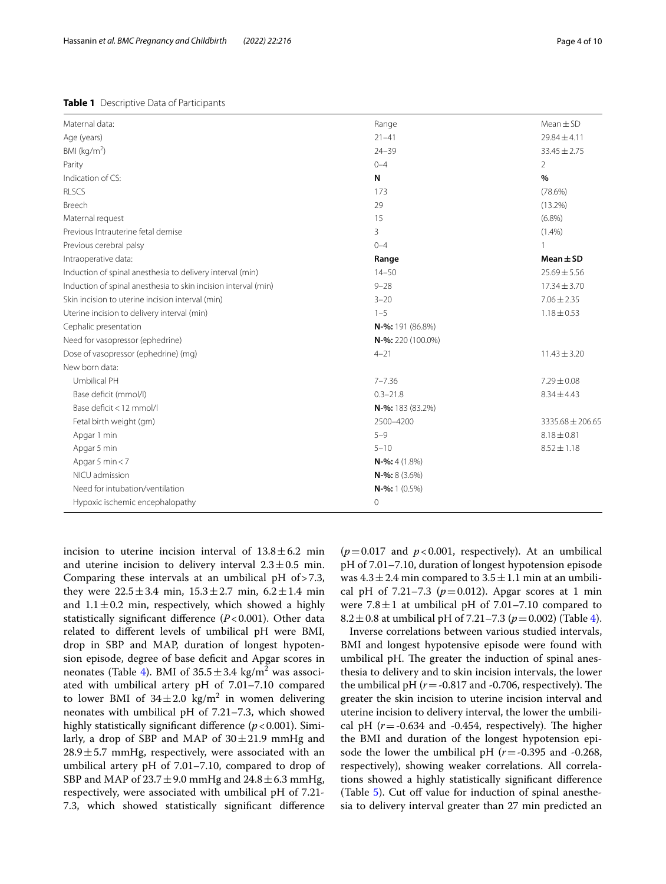<span id="page-3-0"></span>

|  | Table 1 Descriptive Data of Participants |  |  |
|--|------------------------------------------|--|--|
|--|------------------------------------------|--|--|

| Maternal data:                                                 | Range             | $Mean \pm SD$    |  |  |
|----------------------------------------------------------------|-------------------|------------------|--|--|
| Age (years)                                                    | $21 - 41$         | 29.84±4.11       |  |  |
| BMI ( $kg/m2$ )                                                | $24 - 39$         | $33.45 \pm 2.75$ |  |  |
| Parity                                                         | $0 - 4$           | $\overline{2}$   |  |  |
| Indication of CS:                                              | N                 | $\%$             |  |  |
| <b>RLSCS</b>                                                   | 173               | $(78.6\%)$       |  |  |
| Breech                                                         | 29                | $(13.2\%)$       |  |  |
| Maternal request                                               | 15                | $(6.8\%)$        |  |  |
| Previous Intrauterine fetal demise                             | 3                 | $(1.4\%)$        |  |  |
| Previous cerebral palsy                                        | $0 - 4$           | $\overline{1}$   |  |  |
| Intraoperative data:                                           | Range             | $Mean \pm SD$    |  |  |
| Induction of spinal anesthesia to delivery interval (min)      | $14 - 50$         | $25.69 \pm 5.56$ |  |  |
| Induction of spinal anesthesia to skin incision interval (min) | $9 - 28$          | $17.34 \pm 3.70$ |  |  |
| Skin incision to uterine incision interval (min)               | $3 - 20$          | $7.06 \pm 2.35$  |  |  |
| Uterine incision to delivery interval (min)                    | $1 - 5$           | $1.18 \pm 0.53$  |  |  |
| Cephalic presentation                                          | N-%: 191 (86.8%)  |                  |  |  |
| Need for vasopressor (ephedrine)                               | N-%: 220 (100.0%) |                  |  |  |
| Dose of vasopressor (ephedrine) (mg)                           | $4 - 21$          | $11.43 \pm 3.20$ |  |  |
| New born data:                                                 |                   |                  |  |  |
| Umbilical PH                                                   | $7 - 7.36$        | $7.29 \pm 0.08$  |  |  |
| Base deficit (mmol/l)                                          | $0.3 - 21.8$      | $8.34 \pm 4.43$  |  |  |
| Base deficit < 12 mmol/l                                       | N-%: 183 (83.2%)  |                  |  |  |
| Fetal birth weight (gm)                                        | 2500-4200         | 3335.68 ± 206.65 |  |  |
| Apgar 1 min                                                    | $5 - 9$           | $8.18 \pm 0.81$  |  |  |
| Apgar 5 min                                                    | $5 - 10$          | $8.52 \pm 1.18$  |  |  |
| Apgar 5 min $<$ 7                                              | $N-$ %: 4 (1.8%)  |                  |  |  |
| NICU admission                                                 | $N-$ %: 8 (3.6%)  |                  |  |  |
| Need for intubation/ventilation                                | $N-$ %: 1 (0.5%)  |                  |  |  |
| Hypoxic ischemic encephalopathy                                | 0                 |                  |  |  |

incision to uterine incision interval of  $13.8 \pm 6.2$  min and uterine incision to delivery interval  $2.3 \pm 0.5$  min. Comparing these intervals at an umbilical pH of>7.3, they were  $22.5 \pm 3.4$  min,  $15.3 \pm 2.7$  min,  $6.2 \pm 1.4$  min and  $1.1 \pm 0.2$  min, respectively, which showed a highly statistically signifcant diference (*P*<0.001). Other data related to diferent levels of umbilical pH were BMI, drop in SBP and MAP, duration of longest hypotension episode, degree of base deficit and Apgar scores in neonates (Table [4\)](#page-5-0). BMI of  $35.5 \pm 3.4$  kg/m<sup>2</sup> was associated with umbilical artery pH of 7.01–7.10 compared to lower BMI of  $34\pm2.0$  kg/m<sup>2</sup> in women delivering neonates with umbilical pH of 7.21–7.3, which showed highly statistically significant difference ( $p$  < 0.001). Similarly, a drop of SBP and MAP of  $30 \pm 21.9$  mmHg and  $28.9 \pm 5.7$  mmHg, respectively, were associated with an umbilical artery pH of 7.01–7.10, compared to drop of SBP and MAP of  $23.7 \pm 9.0$  mmHg and  $24.8 \pm 6.3$  mmHg, respectively, were associated with umbilical pH of 7.21- 7.3, which showed statistically signifcant diference

 $(p=0.017$  and  $p<0.001$ , respectively). At an umbilical pH of 7.01–7.10, duration of longest hypotension episode was  $4.3 \pm 2.4$  min compared to  $3.5 \pm 1.1$  min at an umbilical pH of 7.21–7.3 ( $p = 0.012$ ). Apgar scores at 1 min were  $7.8 \pm 1$  at umbilical pH of 7.01–7.10 compared to 8.2  $\pm$  0.8 at umbilical pH of 7.21–7.3 ( $p = 0.002$ ) (Table [4](#page-5-0)).

Inverse correlations between various studied intervals, BMI and longest hypotensive episode were found with umbilical pH. The greater the induction of spinal anesthesia to delivery and to skin incision intervals, the lower the umbilical pH  $(r = -0.817$  and  $-0.706$ , respectively). The greater the skin incision to uterine incision interval and uterine incision to delivery interval, the lower the umbilical pH  $(r = -0.634$  and  $-0.454$ , respectively). The higher the BMI and duration of the longest hypotension episode the lower the umbilical pH  $(r = -0.395$  and  $-0.268$ , respectively), showing weaker correlations. All correlations showed a highly statistically signifcant diference (Table [5\)](#page-5-1). Cut off value for induction of spinal anesthesia to delivery interval greater than 27 min predicted an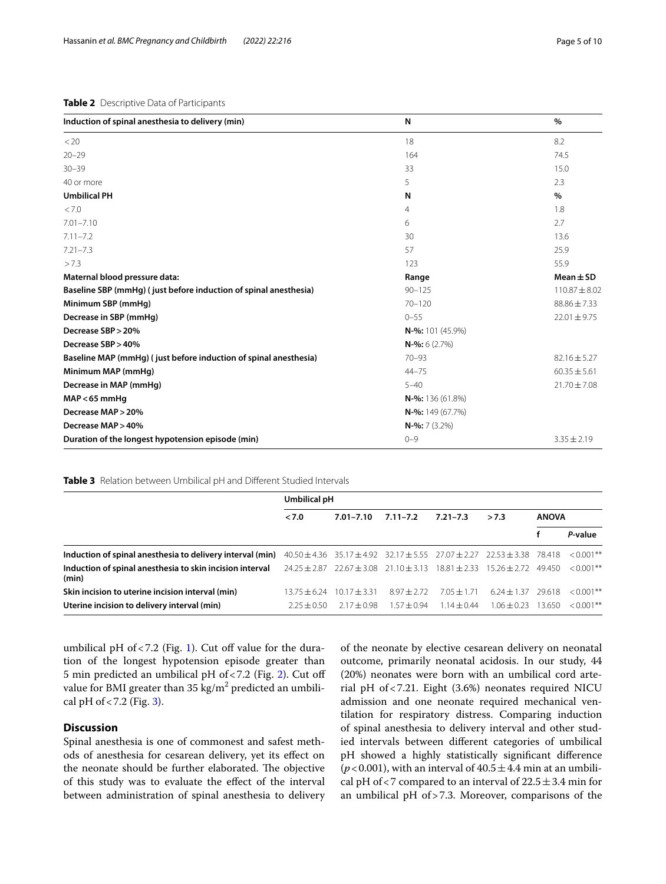# <span id="page-4-0"></span>**Table 2** Descriptive Data of Participants

| Induction of spinal anesthesia to delivery (min)                 | N                   | $\%$              |  |
|------------------------------------------------------------------|---------------------|-------------------|--|
| < 20                                                             | 18                  | 8.2               |  |
| $20 - 29$                                                        | 164                 | 74.5              |  |
| $30 - 39$                                                        | 33                  | 15.0              |  |
| 40 or more                                                       | 5                   | 2.3               |  |
| <b>Umbilical PH</b>                                              | N                   | %                 |  |
| < 7.0                                                            | $\overline{4}$      | 1.8               |  |
| $7.01 - 7.10$                                                    | 6                   | 2.7               |  |
| $7.11 - 7.2$                                                     | 30                  | 13.6              |  |
| $7.21 - 7.3$                                                     | 57                  | 25.9              |  |
| >7.3                                                             | 123                 | 55.9              |  |
| Maternal blood pressure data:                                    | Range               | $Mean \pm SD$     |  |
| Baseline SBP (mmHg) (just before induction of spinal anesthesia) | $90 - 125$          | $110.87 \pm 8.02$ |  |
| Minimum SBP (mmHg)                                               | $70 - 120$          | $88.86 \pm 7.33$  |  |
| Decrease in SBP (mmHq)                                           | $0 - 55$            | $22.01 \pm 9.75$  |  |
| Decrease SBP > 20%                                               | N-%: 101 (45.9%)    |                   |  |
| Decrease SBP > 40%                                               | $N-$ %: 6 (2.7%)    |                   |  |
| Baseline MAP (mmHg) (just before induction of spinal anesthesia) | $70 - 93$           | $82.16 \pm 5.27$  |  |
| Minimum MAP (mmHg)                                               | $44 - 75$           | $60.35 \pm 5.61$  |  |
| Decrease in MAP (mmHq)                                           | $5 - 40$            | $21.70 \pm 7.08$  |  |
| $MAP < 65$ mmHg                                                  | $N-$ %: 136 (61.8%) |                   |  |
| Decrease MAP > 20%                                               | $N-$ %: 149 (67.7%) |                   |  |
| Decrease MAP > 40%                                               | $N-$ %: 7 (3.2%)    |                   |  |
| Duration of the longest hypotension episode (min)                | $0 - 9$             | $3.35 \pm 2.19$   |  |

# <span id="page-4-1"></span>**Table 3** Relation between Umbilical pH and Diferent Studied Intervals

|                                                                   | Umbilical pH                     |                 |                                                                                             |                 |                                          |              |              |
|-------------------------------------------------------------------|----------------------------------|-----------------|---------------------------------------------------------------------------------------------|-----------------|------------------------------------------|--------------|--------------|
|                                                                   | < 7.0                            | $7.01 - 7.10$   | $7.11 - 7.2$                                                                                | $7.21 - 7.3$    | >7.3                                     | <b>ANOVA</b> |              |
|                                                                   |                                  |                 |                                                                                             |                 |                                          |              | P-value      |
| Induction of spinal anesthesia to delivery interval (min)         |                                  |                 | $40.50 \pm 4.36$ 35.17 $\pm 4.92$ 32.17 $\pm 5.55$ 27.07 $\pm 2.27$ 22.53 $\pm 3.38$ 78.418 |                 |                                          |              | $< 0.001**$  |
| Induction of spinal anesthesia to skin incision interval<br>(min) | 24.25±2.87 22.67±3.08 21.10±3.13 |                 |                                                                                             |                 | $18.81 \pm 2.33$ $15.26 \pm 2.72$ 49.450 |              | $< 0.001$ ** |
| Skin incision to uterine incision interval (min)                  | $13.75 \pm 6.24$                 | $10.17 + 3.31$  | $8.97 + 2.72$                                                                               | $7.05 \pm 1.71$ | $6.24 \pm 1.37$                          | 29618        | $< 0.001$ ** |
| Uterine incision to delivery interval (min)                       | $2.25 \pm 0.50$                  | $2.17 \pm 0.98$ | $1.57 + 0.94$                                                                               | $1.14 \pm 0.44$ | $1.06 + 0.23$                            | 13650        | $< 0.001$ ** |

umbilical pH of  $< 7.2$  (Fig. [1](#page-6-0)). Cut off value for the duration of the longest hypotension episode greater than 5 min predicted an umbilical pH of  $< 7.2$  $< 7.2$  (Fig. 2). Cut off value for BMI greater than 35 kg/m $^2$  predicted an umbilical pH of  $< 7.2$  (Fig. [3](#page-7-0)).

# **Discussion**

Spinal anesthesia is one of commonest and safest methods of anesthesia for cesarean delivery, yet its efect on the neonate should be further elaborated. The objective of this study was to evaluate the efect of the interval between administration of spinal anesthesia to delivery of the neonate by elective cesarean delivery on neonatal outcome, primarily neonatal acidosis. In our study, 44 (20%) neonates were born with an umbilical cord arterial pH of<7.21. Eight (3.6%) neonates required NICU admission and one neonate required mechanical ventilation for respiratory distress. Comparing induction of spinal anesthesia to delivery interval and other studied intervals between diferent categories of umbilical pH showed a highly statistically signifcant diference ( $p$ <0.001), with an interval of  $40.5 \pm 4.4$  min at an umbilical pH of <7 compared to an interval of  $22.5 \pm 3.4$  min for an umbilical pH of>7.3. Moreover, comparisons of the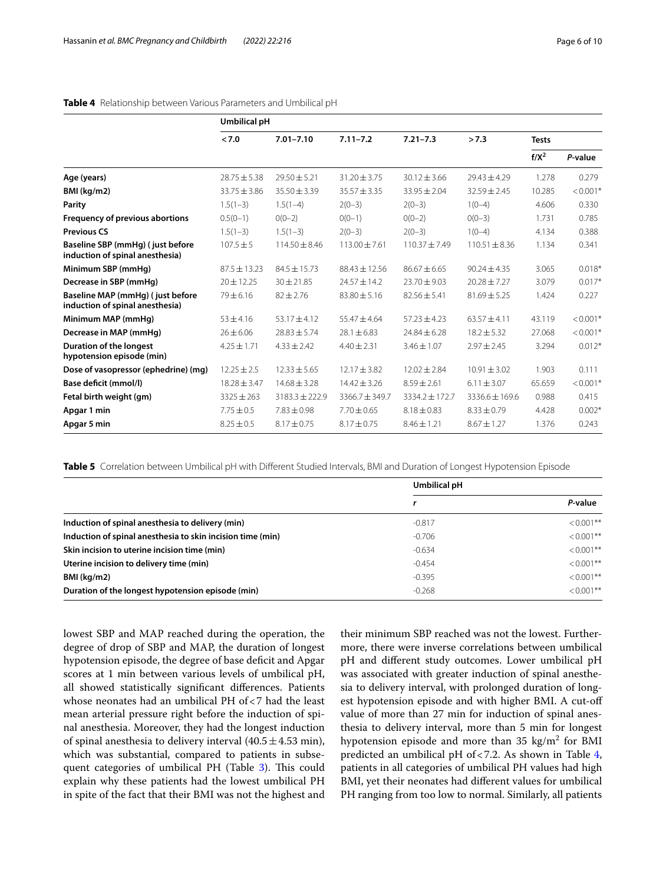|                                                                     | Umbilical pH     |                    |                    |                    |                   |              |            |
|---------------------------------------------------------------------|------------------|--------------------|--------------------|--------------------|-------------------|--------------|------------|
|                                                                     | < 7.0            | $7.01 - 7.10$      | $7.11 - 7.2$       | $7.21 - 7.3$       | >7.3              | <b>Tests</b> |            |
|                                                                     |                  |                    |                    |                    |                   | $f/X^2$      | P-value    |
| Age (years)                                                         | $28.75 \pm 5.38$ | $79.50 + 5.21$     | $31.20 + 3.75$     | $30.12 \pm 3.66$   | $79.43 + 4.79$    | 1.278        | 0.279      |
| BMI (kg/m2)                                                         | $33.75 \pm 3.86$ | $35.50 \pm 3.39$   | $35.57 \pm 3.35$   | $33.95 \pm 2.04$   | $32.59 \pm 2.45$  | 10.285       | $< 0.001*$ |
| Parity                                                              | $1.5(1-3)$       | $1.5(1-4)$         | $2(0-3)$           | $2(0-3)$           | $1(0-4)$          | 4.606        | 0.330      |
| Frequency of previous abortions                                     | $0.5(0-1)$       | $0(0-2)$           | $0(0-1)$           | $0(0-2)$           | $0(0-3)$          | 1.731        | 0.785      |
| <b>Previous CS</b>                                                  | $1.5(1-3)$       | $1.5(1-3)$         | $2(0-3)$           | $2(0-3)$           | $1(0-4)$          | 4.134        | 0.388      |
| Baseline SBP (mmHg) (just before<br>induction of spinal anesthesia) | $107.5 \pm 5$    | $114.50 \pm 8.46$  | $113.00 \pm 7.61$  | $110.37 \pm 7.49$  | $110.51 \pm 8.36$ | 1.134        | 0.341      |
| Minimum SBP (mmHq)                                                  | $87.5 + 13.23$   | $84.5 + 15.73$     | 88.43 ± 12.56      | $86.67 \pm 6.65$   | $90.24 + 4.35$    | 3.065        | $0.018*$   |
| Decrease in SBP (mmHg)                                              | $20 \pm 12.25$   | $30 \pm 21.85$     | $24.57 \pm 14.2$   | $23.70 \pm 9.03$   | $20.28 \pm 7.27$  | 3.079        | $0.017*$   |
| Baseline MAP (mmHg) (just before<br>induction of spinal anesthesia) | $79 \pm 6.16$    | $82 \pm 2.76$      | $83.80 \pm 5.16$   | $82.56 \pm 5.41$   | $81.69 \pm 5.25$  | 1.424        | 0.227      |
| Minimum MAP (mmHq)                                                  | $53 + 4.16$      | $53.17 + 4.12$     | $55.47 \pm 4.64$   | $57.23 + 4.23$     | $63.57 + 4.11$    | 43.119       | $< 0.001*$ |
| Decrease in MAP (mmHq)                                              | $26 \pm 6.06$    | $28.83 \pm 5.74$   | $28.1 \pm 6.83$    | $24.84 \pm 6.28$   | $18.2 \pm 5.32$   | 27.068       | $< 0.001*$ |
| Duration of the longest<br>hypotension episode (min)                | $4.25 \pm 1.71$  | $4.33 \pm 2.42$    | $4.40 \pm 2.31$    | $3.46 \pm 1.07$    | $2.97 \pm 2.45$   | 3.294        | $0.012*$   |
| Dose of vasopressor (ephedrine) (mg)                                | $12.25 \pm 2.5$  | $12.33 \pm 5.65$   | $12.17 \pm 3.82$   | $12.02 \pm 2.84$   | $10.91 \pm 3.02$  | 1.903        | 0.111      |
| Base deficit (mmol/l)                                               | $18.28 \pm 3.47$ | $14.68 \pm 3.28$   | $14.42 \pm 3.26$   | $8.59 \pm 2.61$    | $6.11 \pm 3.07$   | 65.659       | $< 0.001*$ |
| Fetal birth weight (gm)                                             | $3325 \pm 263$   | $3183.3 \pm 222.9$ | $3366.7 \pm 349.7$ | $3334.2 \pm 172.7$ | 3336.6 ± 169.6    | 0.988        | 0.415      |
| Apgar 1 min                                                         | $7.75 \pm 0.5$   | $7.83 \pm 0.98$    | $7.70 \pm 0.65$    | $8.18 \pm 0.83$    | $8.33 \pm 0.79$   | 4.428        | $0.002*$   |
| Apgar 5 min                                                         | $8.25 \pm 0.5$   | $8.17 \pm 0.75$    | $8.17 \pm 0.75$    | $8.46 \pm 1.21$    | $8.67 \pm 1.27$   | 1.376        | 0.243      |

# <span id="page-5-0"></span>**Table 4** Relationship between Various Parameters and Umbilical pH

<span id="page-5-1"></span>**Table 5** Correlation between Umbilical pH with Different Studied Intervals, BMI and Duration of Longest Hypotension Episode

|                                                            | Umbilical pH |              |  |
|------------------------------------------------------------|--------------|--------------|--|
|                                                            |              | P-value      |  |
| Induction of spinal anesthesia to delivery (min)           | $-0.817$     | $< 0.001$ ** |  |
| Induction of spinal anesthesia to skin incision time (min) | $-0.706$     | $< 0.001$ ** |  |
| Skin incision to uterine incision time (min)               | $-0.634$     | $< 0.001$ ** |  |
| Uterine incision to delivery time (min)                    | $-0.454$     | $< 0.001$ ** |  |
| BMI (kg/m2)                                                | $-0.395$     | $< 0.001$ ** |  |
| Duration of the longest hypotension episode (min)          | $-0.268$     | $< 0.001**$  |  |

lowest SBP and MAP reached during the operation, the degree of drop of SBP and MAP, the duration of longest hypotension episode, the degree of base deficit and Apgar scores at 1 min between various levels of umbilical pH, all showed statistically signifcant diferences. Patients whose neonates had an umbilical PH of<7 had the least mean arterial pressure right before the induction of spinal anesthesia. Moreover, they had the longest induction of spinal anesthesia to delivery interval  $(40.5 \pm 4.53 \text{ min})$ , which was substantial, compared to patients in subse-quent categories of umbilical PH (Table [3\)](#page-4-1). This could explain why these patients had the lowest umbilical PH in spite of the fact that their BMI was not the highest and their minimum SBP reached was not the lowest. Furthermore, there were inverse correlations between umbilical pH and diferent study outcomes. Lower umbilical pH was associated with greater induction of spinal anesthesia to delivery interval, with prolonged duration of longest hypotension episode and with higher BMI. A cut-of value of more than 27 min for induction of spinal anesthesia to delivery interval, more than 5 min for longest hypotension episode and more than  $35 \text{ kg/m}^2$  for BMI predicted an umbilical pH of<7.2. As shown in Table [4](#page-5-0), patients in all categories of umbilical PH values had high BMI, yet their neonates had diferent values for umbilical PH ranging from too low to normal. Similarly, all patients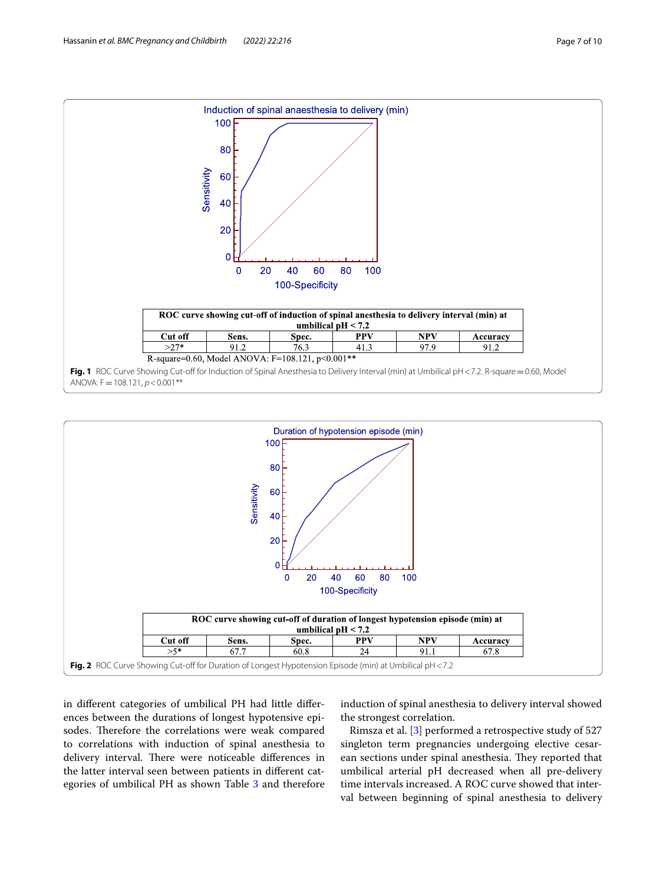

<span id="page-6-0"></span>

<span id="page-6-1"></span>in diferent categories of umbilical PH had little diferences between the durations of longest hypotensive episodes. Therefore the correlations were weak compared to correlations with induction of spinal anesthesia to delivery interval. There were noticeable differences in the latter interval seen between patients in diferent categories of umbilical PH as shown Table [3](#page-4-1) and therefore induction of spinal anesthesia to delivery interval showed the strongest correlation.

Rimsza et al. [[3\]](#page-9-1) performed a retrospective study of 527 singleton term pregnancies undergoing elective cesarean sections under spinal anesthesia. They reported that umbilical arterial pH decreased when all pre-delivery time intervals increased. A ROC curve showed that interval between beginning of spinal anesthesia to delivery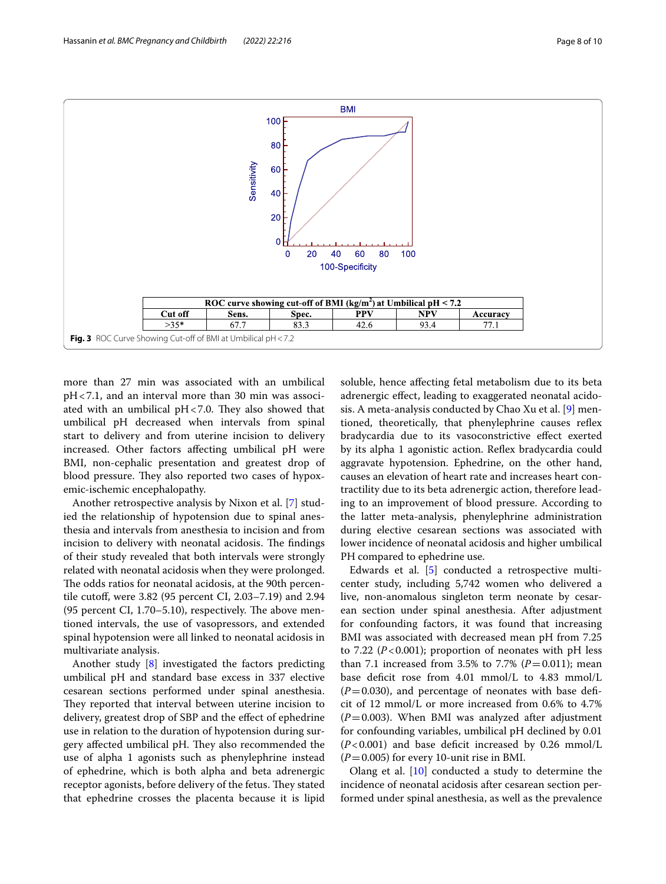

<span id="page-7-0"></span>more than 27 min was associated with an umbilical pH<7.1, and an interval more than 30 min was associated with an umbilical  $pH < 7.0$ . They also showed that umbilical pH decreased when intervals from spinal start to delivery and from uterine incision to delivery increased. Other factors afecting umbilical pH were BMI, non-cephalic presentation and greatest drop of blood pressure. They also reported two cases of hypoxemic-ischemic encephalopathy.

Another retrospective analysis by Nixon et al. [[7](#page-9-5)] studied the relationship of hypotension due to spinal anesthesia and intervals from anesthesia to incision and from incision to delivery with neonatal acidosis. The findings of their study revealed that both intervals were strongly related with neonatal acidosis when they were prolonged. The odds ratios for neonatal acidosis, at the 90th percentile cutof, were 3.82 (95 percent CI, 2.03–7.19) and 2.94 (95 percent CI,  $1.70-5.10$ ), respectively. The above mentioned intervals, the use of vasopressors, and extended spinal hypotension were all linked to neonatal acidosis in multivariate analysis.

Another study [\[8](#page-9-6)] investigated the factors predicting umbilical pH and standard base excess in 337 elective cesarean sections performed under spinal anesthesia. They reported that interval between uterine incision to delivery, greatest drop of SBP and the efect of ephedrine use in relation to the duration of hypotension during surgery affected umbilical pH. They also recommended the use of alpha 1 agonists such as phenylephrine instead of ephedrine, which is both alpha and beta adrenergic receptor agonists, before delivery of the fetus. They stated that ephedrine crosses the placenta because it is lipid

soluble, hence afecting fetal metabolism due to its beta adrenergic efect, leading to exaggerated neonatal acidosis. A meta-analysis conducted by Chao Xu et al. [[9](#page-9-7)] mentioned, theoretically, that phenylephrine causes refex bradycardia due to its vasoconstrictive efect exerted by its alpha 1 agonistic action. Refex bradycardia could aggravate hypotension. Ephedrine, on the other hand, causes an elevation of heart rate and increases heart contractility due to its beta adrenergic action, therefore leading to an improvement of blood pressure. According to the latter meta-analysis, phenylephrine administration during elective cesarean sections was associated with lower incidence of neonatal acidosis and higher umbilical PH compared to ephedrine use.

Edwards et al. [\[5](#page-9-3)] conducted a retrospective multicenter study, including 5,742 women who delivered a live, non-anomalous singleton term neonate by cesarean section under spinal anesthesia. After adjustment for confounding factors, it was found that increasing BMI was associated with decreased mean pH from 7.25 to 7.22  $(P<0.001)$ ; proportion of neonates with pH less than 7.1 increased from 3.5% to 7.7% ( $P = 0.011$ ); mean base deficit rose from 4.01 mmol/L to 4.83 mmol/L  $(P=0.030)$ , and percentage of neonates with base deficit of 12 mmol/L or more increased from 0.6% to 4.7%  $(P=0.003)$ . When BMI was analyzed after adjustment for confounding variables, umbilical pH declined by 0.01  $(P<0.001)$  and base deficit increased by 0.26 mmol/L  $(P=0.005)$  for every 10-unit rise in BMI.

Olang et al. [\[10](#page-9-8)] conducted a study to determine the incidence of neonatal acidosis after cesarean section performed under spinal anesthesia, as well as the prevalence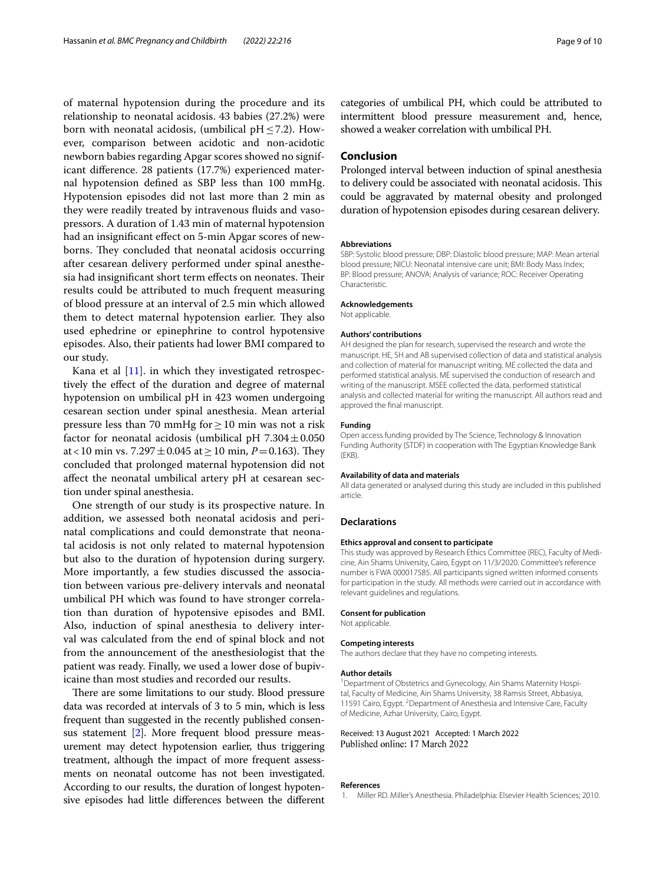of maternal hypotension during the procedure and its relationship to neonatal acidosis. 43 babies (27.2%) were born with neonatal acidosis, (umbilical  $pH \leq 7.2$ ). However, comparison between acidotic and non-acidotic newborn babies regarding Apgar scores showed no significant diference. 28 patients (17.7%) experienced maternal hypotension defned as SBP less than 100 mmHg. Hypotension episodes did not last more than 2 min as they were readily treated by intravenous fuids and vasopressors. A duration of 1.43 min of maternal hypotension had an insignifcant efect on 5-min Apgar scores of newborns. They concluded that neonatal acidosis occurring after cesarean delivery performed under spinal anesthesia had insignificant short term effects on neonates. Their results could be attributed to much frequent measuring of blood pressure at an interval of 2.5 min which allowed them to detect maternal hypotension earlier. They also used ephedrine or epinephrine to control hypotensive episodes. Also, their patients had lower BMI compared to our study.

Kana et al  $[11]$  $[11]$ . in which they investigated retrospectively the efect of the duration and degree of maternal hypotension on umbilical pH in 423 women undergoing cesarean section under spinal anesthesia. Mean arterial pressure less than 70 mmHg for ≥ 10 min was not a risk factor for neonatal acidosis (umbilical pH  $7.304 \pm 0.050$ at <10 min vs. 7.297 $\pm$ 0.045 at  $\geq$  10 min, *P* = 0.163). They concluded that prolonged maternal hypotension did not afect the neonatal umbilical artery pH at cesarean section under spinal anesthesia.

One strength of our study is its prospective nature. In addition, we assessed both neonatal acidosis and perinatal complications and could demonstrate that neonatal acidosis is not only related to maternal hypotension but also to the duration of hypotension during surgery. More importantly, a few studies discussed the association between various pre-delivery intervals and neonatal umbilical PH which was found to have stronger correlation than duration of hypotensive episodes and BMI. Also, induction of spinal anesthesia to delivery interval was calculated from the end of spinal block and not from the announcement of the anesthesiologist that the patient was ready. Finally, we used a lower dose of bupivicaine than most studies and recorded our results.

There are some limitations to our study. Blood pressure data was recorded at intervals of 3 to 5 min, which is less frequent than suggested in the recently published consensus statement [\[2\]](#page-9-0). More frequent blood pressure measurement may detect hypotension earlier, thus triggering treatment, although the impact of more frequent assessments on neonatal outcome has not been investigated. According to our results, the duration of longest hypotensive episodes had little diferences between the diferent

categories of umbilical PH, which could be attributed to intermittent blood pressure measurement and, hence, showed a weaker correlation with umbilical PH.

# **Conclusion**

Prolonged interval between induction of spinal anesthesia to delivery could be associated with neonatal acidosis. This could be aggravated by maternal obesity and prolonged duration of hypotension episodes during cesarean delivery.

#### **Abbreviations**

SBP: Systolic blood pressure; DBP: Diastolic blood pressure; MAP: Mean arterial blood pressure; NICU: Neonatal intensive care unit; BMI: Body Mass Index; BP: Blood pressure; ANOVA: Analysis of variance; ROC: Receiver Operating Characteristic.

#### **Acknowledgements**

Not applicable.

#### **Authors' contributions**

AH designed the plan for research, supervised the research and wrote the manuscript. HE, SH and AB supervised collection of data and statistical analysis and collection of material for manuscript writing. ME collected the data and performed statistical analysis. ME supervised the conduction of research and writing of the manuscript. MSEE collected the data, performed statistical analysis and collected material for writing the manuscript. All authors read and approved the fnal manuscript.

#### **Funding**

Open access funding provided by The Science, Technology & Innovation Funding Authority (STDF) in cooperation with The Egyptian Knowledge Bank (EKB).

#### **Availability of data and materials**

All data generated or analysed during this study are included in this published article.

#### **Declarations**

#### **Ethics approval and consent to participate**

This study was approved by Research Ethics Committee (REC), Faculty of Medicine, Ain Shams University, Cairo, Egypt on 11/3/2020. Committee's reference number is FWA 000017585. All participants signed written informed consents for participation in the study. All methods were carried out in accordance with relevant guidelines and regulations.

#### **Consent for publication**

Not applicable.

#### **Competing interests**

The authors declare that they have no competing interests.

#### **Author details**

<sup>1</sup> Department of Obstetrics and Gynecology, Ain Shams Maternity Hospital, Faculty of Medicine, Ain Shams University, 38 Ramsis Street, Abbasiya, 11591 Cairo, Egypt. <sup>2</sup> Department of Anesthesia and Intensive Care, Faculty of Medicine, Azhar University, Cairo, Egypt.

## Received: 13 August 2021 Accepted: 1 March 2022 Published online: 17 March 2022

#### **References**

<span id="page-8-0"></span>1. Miller RD. Miller's Anesthesia. Philadelphia: Elsevier Health Sciences; 2010.